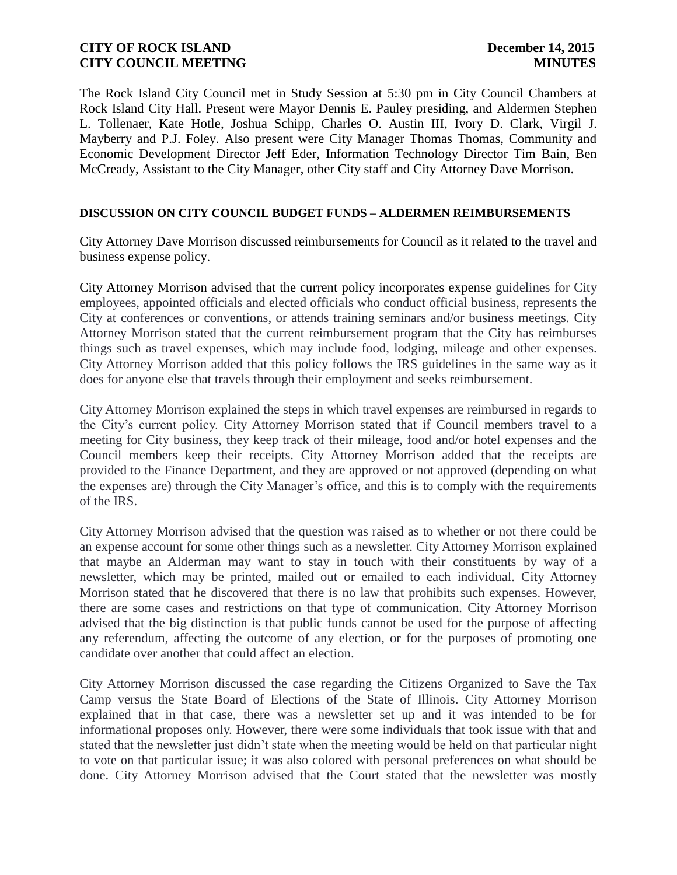The Rock Island City Council met in Study Session at 5:30 pm in City Council Chambers at Rock Island City Hall. Present were Mayor Dennis E. Pauley presiding, and Aldermen Stephen L. Tollenaer, Kate Hotle, Joshua Schipp, Charles O. Austin III, Ivory D. Clark, Virgil J. Mayberry and P.J. Foley. Also present were City Manager Thomas Thomas, Community and Economic Development Director Jeff Eder, Information Technology Director Tim Bain, Ben McCready, Assistant to the City Manager, other City staff and City Attorney Dave Morrison.

#### **DISCUSSION ON CITY COUNCIL BUDGET FUNDS – ALDERMEN REIMBURSEMENTS**

City Attorney Dave Morrison discussed reimbursements for Council as it related to the travel and business expense policy.

City Attorney Morrison advised that the current policy incorporates expense guidelines for City employees, appointed officials and elected officials who conduct official business, represents the City at conferences or conventions, or attends training seminars and/or business meetings. City Attorney Morrison stated that the current reimbursement program that the City has reimburses things such as travel expenses, which may include food, lodging, mileage and other expenses. City Attorney Morrison added that this policy follows the IRS guidelines in the same way as it does for anyone else that travels through their employment and seeks reimbursement.

City Attorney Morrison explained the steps in which travel expenses are reimbursed in regards to the City's current policy. City Attorney Morrison stated that if Council members travel to a meeting for City business, they keep track of their mileage, food and/or hotel expenses and the Council members keep their receipts. City Attorney Morrison added that the receipts are provided to the Finance Department, and they are approved or not approved (depending on what the expenses are) through the City Manager's office, and this is to comply with the requirements of the IRS.

City Attorney Morrison advised that the question was raised as to whether or not there could be an expense account for some other things such as a newsletter. City Attorney Morrison explained that maybe an Alderman may want to stay in touch with their constituents by way of a newsletter, which may be printed, mailed out or emailed to each individual. City Attorney Morrison stated that he discovered that there is no law that prohibits such expenses. However, there are some cases and restrictions on that type of communication. City Attorney Morrison advised that the big distinction is that public funds cannot be used for the purpose of affecting any referendum, affecting the outcome of any election, or for the purposes of promoting one candidate over another that could affect an election.

City Attorney Morrison discussed the case regarding the Citizens Organized to Save the Tax Camp versus the State Board of Elections of the State of Illinois. City Attorney Morrison explained that in that case, there was a newsletter set up and it was intended to be for informational proposes only. However, there were some individuals that took issue with that and stated that the newsletter just didn't state when the meeting would be held on that particular night to vote on that particular issue; it was also colored with personal preferences on what should be done. City Attorney Morrison advised that the Court stated that the newsletter was mostly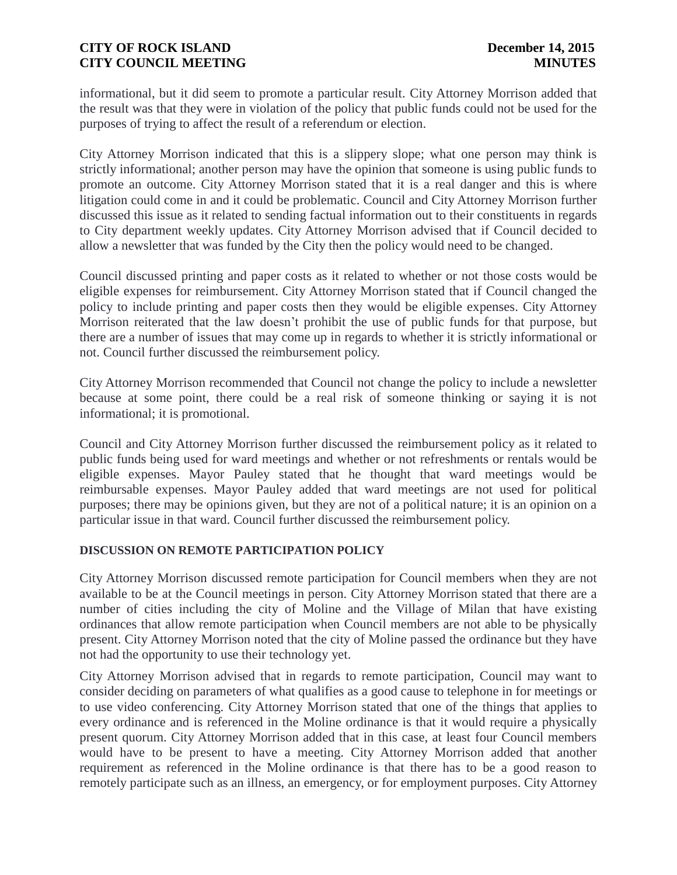informational, but it did seem to promote a particular result. City Attorney Morrison added that the result was that they were in violation of the policy that public funds could not be used for the purposes of trying to affect the result of a referendum or election.

City Attorney Morrison indicated that this is a slippery slope; what one person may think is strictly informational; another person may have the opinion that someone is using public funds to promote an outcome. City Attorney Morrison stated that it is a real danger and this is where litigation could come in and it could be problematic. Council and City Attorney Morrison further discussed this issue as it related to sending factual information out to their constituents in regards to City department weekly updates. City Attorney Morrison advised that if Council decided to allow a newsletter that was funded by the City then the policy would need to be changed.

Council discussed printing and paper costs as it related to whether or not those costs would be eligible expenses for reimbursement. City Attorney Morrison stated that if Council changed the policy to include printing and paper costs then they would be eligible expenses. City Attorney Morrison reiterated that the law doesn't prohibit the use of public funds for that purpose, but there are a number of issues that may come up in regards to whether it is strictly informational or not. Council further discussed the reimbursement policy.

City Attorney Morrison recommended that Council not change the policy to include a newsletter because at some point, there could be a real risk of someone thinking or saying it is not informational; it is promotional.

Council and City Attorney Morrison further discussed the reimbursement policy as it related to public funds being used for ward meetings and whether or not refreshments or rentals would be eligible expenses. Mayor Pauley stated that he thought that ward meetings would be reimbursable expenses. Mayor Pauley added that ward meetings are not used for political purposes; there may be opinions given, but they are not of a political nature; it is an opinion on a particular issue in that ward. Council further discussed the reimbursement policy.

#### **DISCUSSION ON REMOTE PARTICIPATION POLICY**

City Attorney Morrison discussed remote participation for Council members when they are not available to be at the Council meetings in person. City Attorney Morrison stated that there are a number of cities including the city of Moline and the Village of Milan that have existing ordinances that allow remote participation when Council members are not able to be physically present. City Attorney Morrison noted that the city of Moline passed the ordinance but they have not had the opportunity to use their technology yet.

City Attorney Morrison advised that in regards to remote participation, Council may want to consider deciding on parameters of what qualifies as a good cause to telephone in for meetings or to use video conferencing. City Attorney Morrison stated that one of the things that applies to every ordinance and is referenced in the Moline ordinance is that it would require a physically present quorum. City Attorney Morrison added that in this case, at least four Council members would have to be present to have a meeting. City Attorney Morrison added that another requirement as referenced in the Moline ordinance is that there has to be a good reason to remotely participate such as an illness, an emergency, or for employment purposes. City Attorney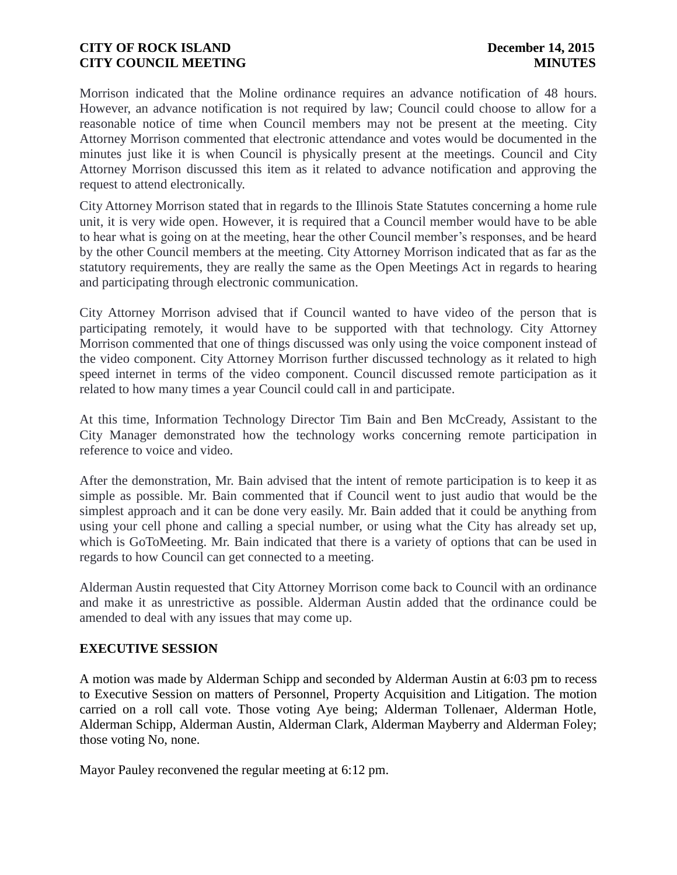Morrison indicated that the Moline ordinance requires an advance notification of 48 hours. However, an advance notification is not required by law; Council could choose to allow for a reasonable notice of time when Council members may not be present at the meeting. City Attorney Morrison commented that electronic attendance and votes would be documented in the minutes just like it is when Council is physically present at the meetings. Council and City Attorney Morrison discussed this item as it related to advance notification and approving the request to attend electronically.

City Attorney Morrison stated that in regards to the Illinois State Statutes concerning a home rule unit, it is very wide open. However, it is required that a Council member would have to be able to hear what is going on at the meeting, hear the other Council member's responses, and be heard by the other Council members at the meeting. City Attorney Morrison indicated that as far as the statutory requirements, they are really the same as the Open Meetings Act in regards to hearing and participating through electronic communication.

City Attorney Morrison advised that if Council wanted to have video of the person that is participating remotely, it would have to be supported with that technology. City Attorney Morrison commented that one of things discussed was only using the voice component instead of the video component. City Attorney Morrison further discussed technology as it related to high speed internet in terms of the video component. Council discussed remote participation as it related to how many times a year Council could call in and participate.

At this time, Information Technology Director Tim Bain and Ben McCready, Assistant to the City Manager demonstrated how the technology works concerning remote participation in reference to voice and video.

After the demonstration, Mr. Bain advised that the intent of remote participation is to keep it as simple as possible. Mr. Bain commented that if Council went to just audio that would be the simplest approach and it can be done very easily. Mr. Bain added that it could be anything from using your cell phone and calling a special number, or using what the City has already set up, which is GoToMeeting. Mr. Bain indicated that there is a variety of options that can be used in regards to how Council can get connected to a meeting.

Alderman Austin requested that City Attorney Morrison come back to Council with an ordinance and make it as unrestrictive as possible. Alderman Austin added that the ordinance could be amended to deal with any issues that may come up.

# **EXECUTIVE SESSION**

A motion was made by Alderman Schipp and seconded by Alderman Austin at 6:03 pm to recess to Executive Session on matters of Personnel, Property Acquisition and Litigation. The motion carried on a roll call vote. Those voting Aye being; Alderman Tollenaer, Alderman Hotle, Alderman Schipp, Alderman Austin, Alderman Clark, Alderman Mayberry and Alderman Foley; those voting No, none.

Mayor Pauley reconvened the regular meeting at 6:12 pm.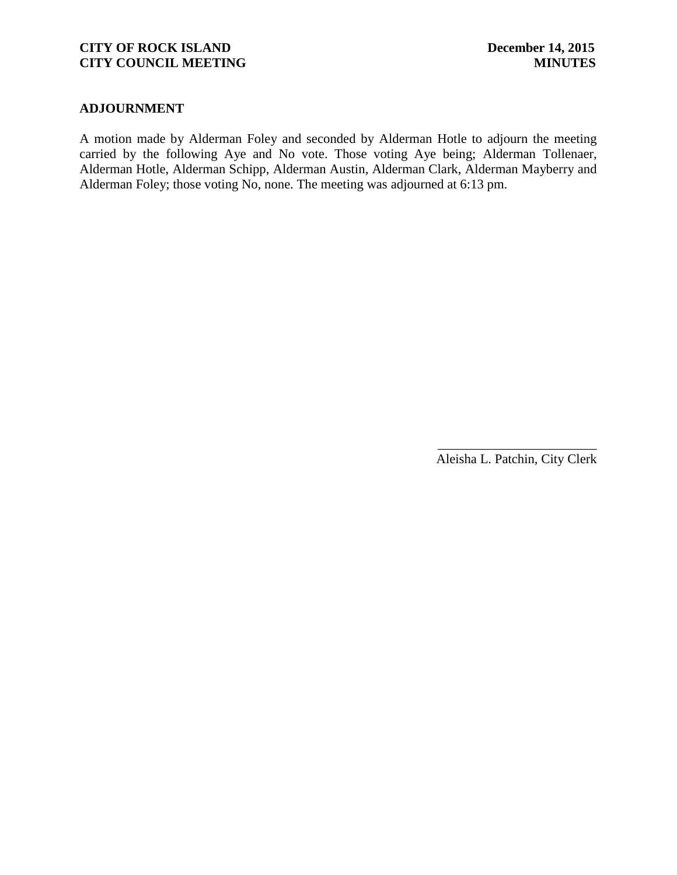#### **ADJOURNMENT**

A motion made by Alderman Foley and seconded by Alderman Hotle to adjourn the meeting carried by the following Aye and No vote. Those voting Aye being; Alderman Tollenaer, Alderman Hotle, Alderman Schipp, Alderman Austin, Alderman Clark, Alderman Mayberry and Alderman Foley; those voting No, none. The meeting was adjourned at 6:13 pm.

> \_\_\_\_\_\_\_\_\_\_\_\_\_\_\_\_\_\_\_\_\_\_\_\_ Aleisha L. Patchin, City Clerk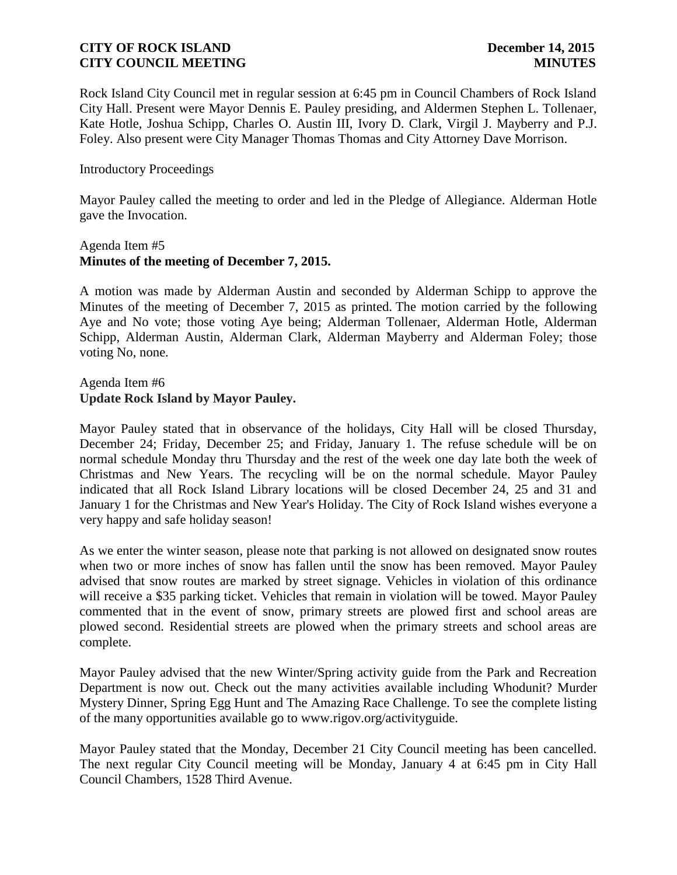Rock Island City Council met in regular session at 6:45 pm in Council Chambers of Rock Island City Hall. Present were Mayor Dennis E. Pauley presiding, and Aldermen Stephen L. Tollenaer, Kate Hotle, Joshua Schipp, Charles O. Austin III, Ivory D. Clark, Virgil J. Mayberry and P.J. Foley. Also present were City Manager Thomas Thomas and City Attorney Dave Morrison.

#### Introductory Proceedings

Mayor Pauley called the meeting to order and led in the Pledge of Allegiance. Alderman Hotle gave the Invocation.

#### Agenda Item #5 **Minutes of the meeting of December 7, 2015.**

A motion was made by Alderman Austin and seconded by Alderman Schipp to approve the Minutes of the meeting of December 7, 2015 as printed. The motion carried by the following Aye and No vote; those voting Aye being; Alderman Tollenaer, Alderman Hotle, Alderman Schipp, Alderman Austin, Alderman Clark, Alderman Mayberry and Alderman Foley; those voting No, none.

#### Agenda Item #6 **Update Rock Island by Mayor Pauley.**

Mayor Pauley stated that in observance of the holidays, City Hall will be closed Thursday, December 24; Friday, December 25; and Friday, January 1. The refuse schedule will be on normal schedule Monday thru Thursday and the rest of the week one day late both the week of Christmas and New Years. The recycling will be on the normal schedule. Mayor Pauley indicated that all Rock Island Library locations will be closed December 24, 25 and 31 and January 1 for the Christmas and New Year's Holiday. The City of Rock Island wishes everyone a very happy and safe holiday season!

As we enter the winter season, please note that parking is not allowed on designated snow routes when two or more inches of snow has fallen until the snow has been removed. Mayor Pauley advised that snow routes are marked by street signage. Vehicles in violation of this ordinance will receive a \$35 parking ticket. Vehicles that remain in violation will be towed. Mayor Pauley commented that in the event of snow, primary streets are plowed first and school areas are plowed second. Residential streets are plowed when the primary streets and school areas are complete.

Mayor Pauley advised that the new Winter/Spring activity guide from the Park and Recreation Department is now out. Check out the many activities available including Whodunit? Murder Mystery Dinner, Spring Egg Hunt and The Amazing Race Challenge. To see the complete listing of the many opportunities available go to www.rigov.org/activityguide.

Mayor Pauley stated that the Monday, December 21 City Council meeting has been cancelled. The next regular City Council meeting will be Monday, January 4 at 6:45 pm in City Hall Council Chambers, 1528 Third Avenue.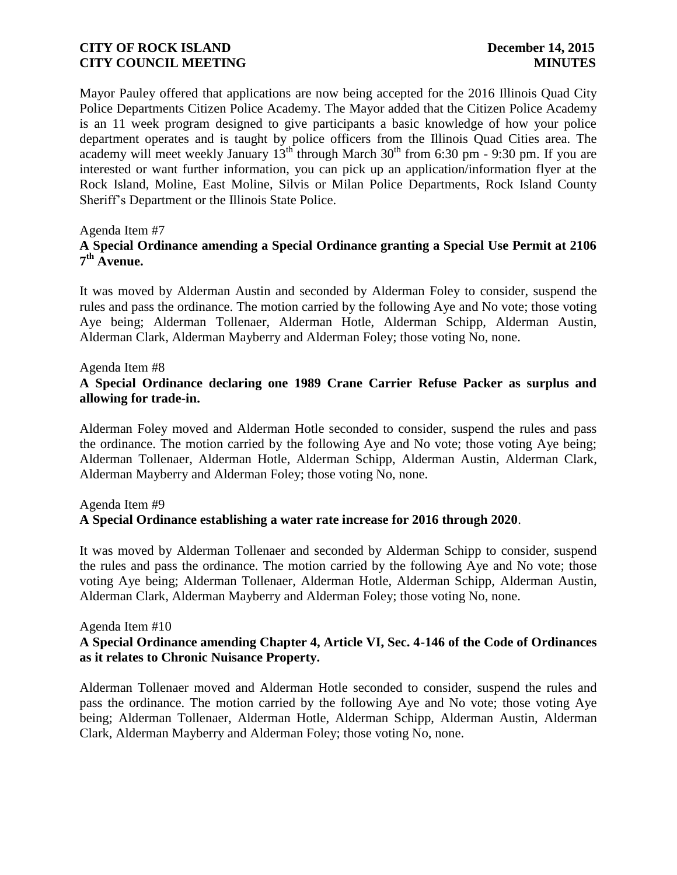Mayor Pauley offered that applications are now being accepted for the 2016 Illinois Quad City Police Departments Citizen Police Academy. The Mayor added that the Citizen Police Academy is an 11 week program designed to give participants a basic knowledge of how your police department operates and is taught by police officers from the Illinois Quad Cities area. The academy will meet weekly January  $13<sup>th</sup>$  through March  $30<sup>th</sup>$  from 6:30 pm - 9:30 pm. If you are interested or want further information, you can pick up an application/information flyer at the Rock Island, Moline, East Moline, Silvis or Milan Police Departments, Rock Island County Sheriff's Department or the Illinois State Police.

#### Agenda Item #7

# **A Special Ordinance amending a Special Ordinance granting a Special Use Permit at 2106 7 th Avenue.**

It was moved by Alderman Austin and seconded by Alderman Foley to consider, suspend the rules and pass the ordinance. The motion carried by the following Aye and No vote; those voting Aye being; Alderman Tollenaer, Alderman Hotle, Alderman Schipp, Alderman Austin, Alderman Clark, Alderman Mayberry and Alderman Foley; those voting No, none.

#### Agenda Item #8

# **A Special Ordinance declaring one 1989 Crane Carrier Refuse Packer as surplus and allowing for trade-in.**

Alderman Foley moved and Alderman Hotle seconded to consider, suspend the rules and pass the ordinance. The motion carried by the following Aye and No vote; those voting Aye being; Alderman Tollenaer, Alderman Hotle, Alderman Schipp, Alderman Austin, Alderman Clark, Alderman Mayberry and Alderman Foley; those voting No, none.

# Agenda Item #9 **A Special Ordinance establishing a water rate increase for 2016 through 2020**.

It was moved by Alderman Tollenaer and seconded by Alderman Schipp to consider, suspend the rules and pass the ordinance. The motion carried by the following Aye and No vote; those voting Aye being; Alderman Tollenaer, Alderman Hotle, Alderman Schipp, Alderman Austin, Alderman Clark, Alderman Mayberry and Alderman Foley; those voting No, none.

#### Agenda Item #10

# **A Special Ordinance amending Chapter 4, Article VI, Sec. 4-146 of the Code of Ordinances as it relates to Chronic Nuisance Property.**

Alderman Tollenaer moved and Alderman Hotle seconded to consider, suspend the rules and pass the ordinance. The motion carried by the following Aye and No vote; those voting Aye being; Alderman Tollenaer, Alderman Hotle, Alderman Schipp, Alderman Austin, Alderman Clark, Alderman Mayberry and Alderman Foley; those voting No, none.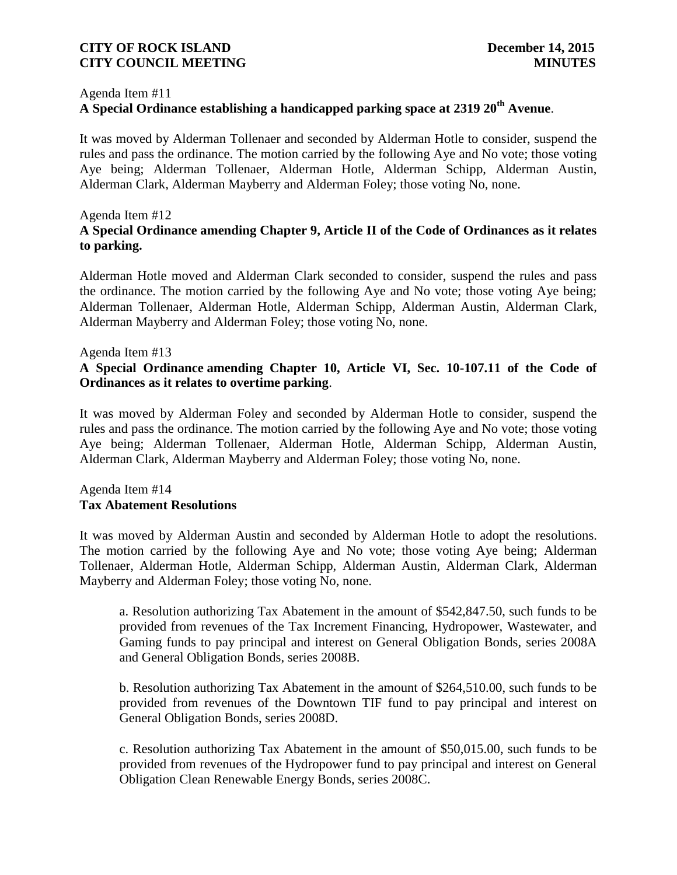#### Agenda Item #11

# **A Special Ordinance establishing a handicapped parking space at 2319 20th Avenue**.

It was moved by Alderman Tollenaer and seconded by Alderman Hotle to consider, suspend the rules and pass the ordinance. The motion carried by the following Aye and No vote; those voting Aye being; Alderman Tollenaer, Alderman Hotle, Alderman Schipp, Alderman Austin, Alderman Clark, Alderman Mayberry and Alderman Foley; those voting No, none.

#### Agenda Item #12

# **A Special Ordinance amending Chapter 9, Article II of the Code of Ordinances as it relates to parking.**

Alderman Hotle moved and Alderman Clark seconded to consider, suspend the rules and pass the ordinance. The motion carried by the following Aye and No vote; those voting Aye being; Alderman Tollenaer, Alderman Hotle, Alderman Schipp, Alderman Austin, Alderman Clark, Alderman Mayberry and Alderman Foley; those voting No, none.

#### Agenda Item #13

# **A Special Ordinance amending Chapter 10, Article VI, Sec. 10-107.11 of the Code of Ordinances as it relates to overtime parking**.

It was moved by Alderman Foley and seconded by Alderman Hotle to consider, suspend the rules and pass the ordinance. The motion carried by the following Aye and No vote; those voting Aye being; Alderman Tollenaer, Alderman Hotle, Alderman Schipp, Alderman Austin, Alderman Clark, Alderman Mayberry and Alderman Foley; those voting No, none.

# Agenda Item #14 **Tax Abatement Resolutions**

It was moved by Alderman Austin and seconded by Alderman Hotle to adopt the resolutions. The motion carried by the following Aye and No vote; those voting Aye being; Alderman Tollenaer, Alderman Hotle, Alderman Schipp, Alderman Austin, Alderman Clark, Alderman Mayberry and Alderman Foley; those voting No, none.

a. Resolution authorizing Tax Abatement in the amount of \$542,847.50, such funds to be provided from revenues of the Tax Increment Financing, Hydropower, Wastewater, and Gaming funds to pay principal and interest on General Obligation Bonds, series 2008A and General Obligation Bonds, series 2008B.

b. Resolution authorizing Tax Abatement in the amount of \$264,510.00, such funds to be provided from revenues of the Downtown TIF fund to pay principal and interest on General Obligation Bonds, series 2008D.

c. Resolution authorizing Tax Abatement in the amount of \$50,015.00, such funds to be provided from revenues of the Hydropower fund to pay principal and interest on General Obligation Clean Renewable Energy Bonds, series 2008C.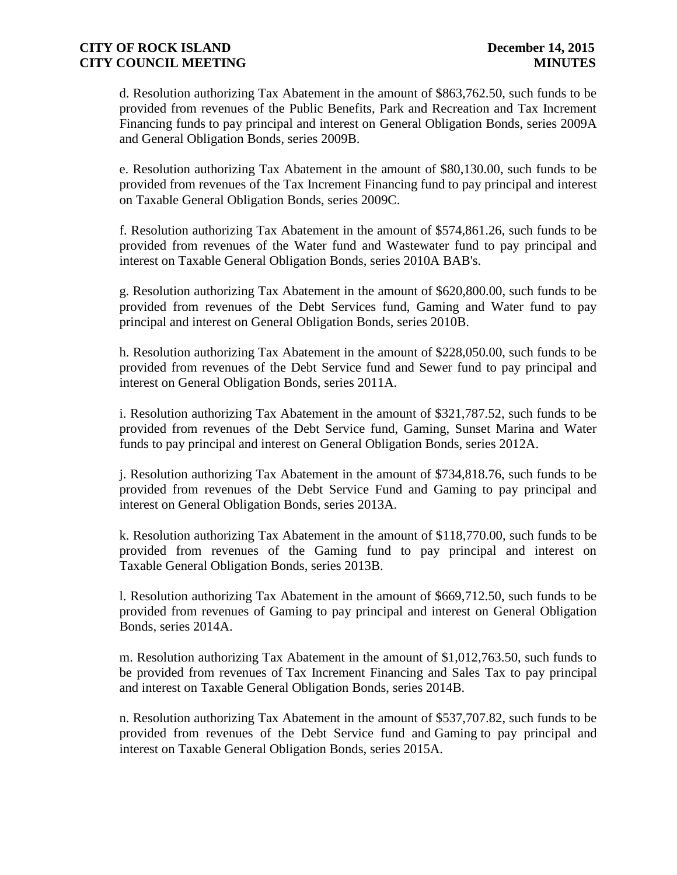d. Resolution authorizing Tax Abatement in the amount of \$863,762.50, such funds to be provided from revenues of the Public Benefits, Park and Recreation and Tax Increment Financing funds to pay principal and interest on General Obligation Bonds, series 2009A and General Obligation Bonds, series 2009B.

e. Resolution authorizing Tax Abatement in the amount of \$80,130.00, such funds to be provided from revenues of the Tax Increment Financing fund to pay principal and interest on Taxable General Obligation Bonds, series 2009C.

f. Resolution authorizing Tax Abatement in the amount of \$574,861.26, such funds to be provided from revenues of the Water fund and Wastewater fund to pay principal and interest on Taxable General Obligation Bonds, series 2010A BAB's.

g. Resolution authorizing Tax Abatement in the amount of \$620,800.00, such funds to be provided from revenues of the Debt Services fund, Gaming and Water fund to pay principal and interest on General Obligation Bonds, series 2010B.

h. Resolution authorizing Tax Abatement in the amount of \$228,050.00, such funds to be provided from revenues of the Debt Service fund and Sewer fund to pay principal and interest on General Obligation Bonds, series 2011A.

i. Resolution authorizing Tax Abatement in the amount of \$321,787.52, such funds to be provided from revenues of the Debt Service fund, Gaming, Sunset Marina and Water funds to pay principal and interest on General Obligation Bonds, series 2012A.

j. Resolution authorizing Tax Abatement in the amount of \$734,818.76, such funds to be provided from revenues of the Debt Service Fund and Gaming to pay principal and interest on General Obligation Bonds, series 2013A.

k. Resolution authorizing Tax Abatement in the amount of \$118,770.00, such funds to be provided from revenues of the Gaming fund to pay principal and interest on Taxable General Obligation Bonds, series 2013B.

l. Resolution authorizing Tax Abatement in the amount of \$669,712.50, such funds to be provided from revenues of Gaming to pay principal and interest on General Obligation Bonds, series 2014A.

m. Resolution authorizing Tax Abatement in the amount of \$1,012,763.50, such funds to be provided from revenues of Tax Increment Financing and Sales Tax to pay principal and interest on Taxable General Obligation Bonds, series 2014B.

n. Resolution authorizing Tax Abatement in the amount of \$537,707.82, such funds to be provided from revenues of the Debt Service fund and Gaming to pay principal and interest on Taxable General Obligation Bonds, series 2015A.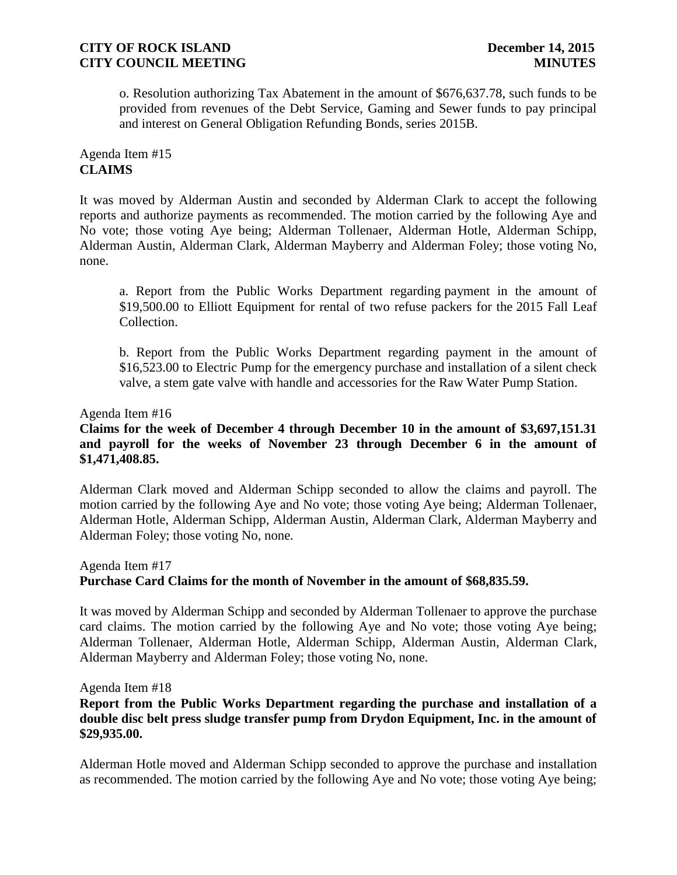o. Resolution authorizing Tax Abatement in the amount of \$676,637.78, such funds to be provided from revenues of the Debt Service, Gaming and Sewer funds to pay principal and interest on General Obligation Refunding Bonds, series 2015B.

# Agenda Item #15 **CLAIMS**

It was moved by Alderman Austin and seconded by Alderman Clark to accept the following reports and authorize payments as recommended. The motion carried by the following Aye and No vote; those voting Aye being; Alderman Tollenaer, Alderman Hotle, Alderman Schipp, Alderman Austin, Alderman Clark, Alderman Mayberry and Alderman Foley; those voting No, none.

a. Report from the Public Works Department regarding payment in the amount of \$19,500.00 to Elliott Equipment for rental of two refuse packers for the 2015 Fall Leaf Collection.

b. Report from the Public Works Department regarding payment in the amount of \$16,523.00 to Electric Pump for the emergency purchase and installation of a silent check valve, a stem gate valve with handle and accessories for the Raw Water Pump Station.

#### Agenda Item #16

# **Claims for the week of December 4 through December 10 in the amount of \$3,697,151.31 and payroll for the weeks of November 23 through December 6 in the amount of \$1,471,408.85.**

Alderman Clark moved and Alderman Schipp seconded to allow the claims and payroll. The motion carried by the following Aye and No vote; those voting Aye being; Alderman Tollenaer, Alderman Hotle, Alderman Schipp, Alderman Austin, Alderman Clark, Alderman Mayberry and Alderman Foley; those voting No, none.

# Agenda Item #17 **Purchase Card Claims for the month of November in the amount of \$68,835.59.**

It was moved by Alderman Schipp and seconded by Alderman Tollenaer to approve the purchase card claims. The motion carried by the following Aye and No vote; those voting Aye being; Alderman Tollenaer, Alderman Hotle, Alderman Schipp, Alderman Austin, Alderman Clark, Alderman Mayberry and Alderman Foley; those voting No, none.

Agenda Item #18

# **Report from the Public Works Department regarding the purchase and installation of a double disc belt press sludge transfer pump from Drydon Equipment, Inc. in the amount of \$29,935.00.**

Alderman Hotle moved and Alderman Schipp seconded to approve the purchase and installation as recommended. The motion carried by the following Aye and No vote; those voting Aye being;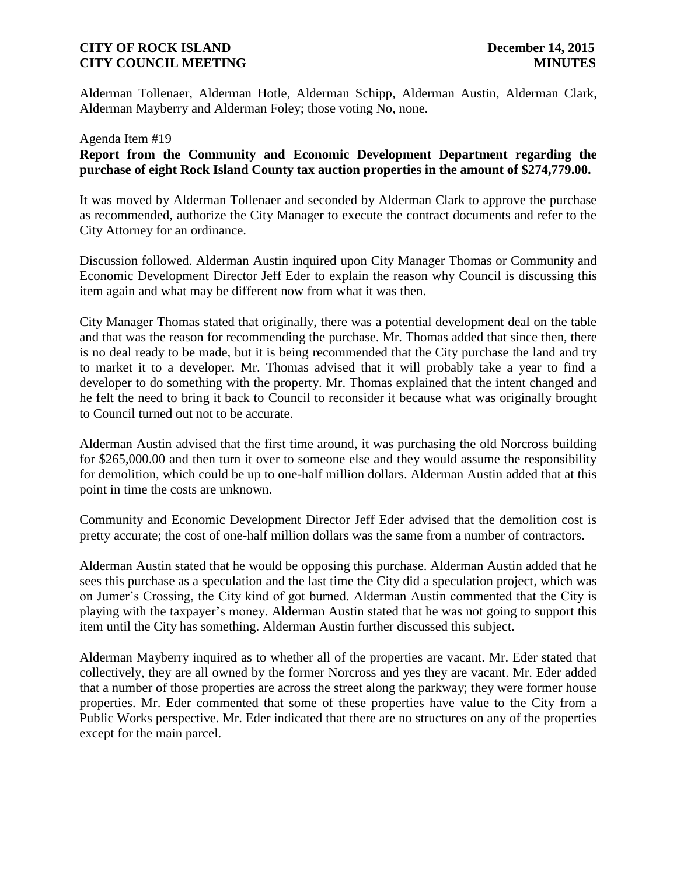Alderman Tollenaer, Alderman Hotle, Alderman Schipp, Alderman Austin, Alderman Clark, Alderman Mayberry and Alderman Foley; those voting No, none.

# Agenda Item #19 **Report from the Community and Economic Development Department regarding the purchase of eight Rock Island County tax auction properties in the amount of \$274,779.00.**

It was moved by Alderman Tollenaer and seconded by Alderman Clark to approve the purchase as recommended, authorize the City Manager to execute the contract documents and refer to the City Attorney for an ordinance.

Discussion followed. Alderman Austin inquired upon City Manager Thomas or Community and Economic Development Director Jeff Eder to explain the reason why Council is discussing this item again and what may be different now from what it was then.

City Manager Thomas stated that originally, there was a potential development deal on the table and that was the reason for recommending the purchase. Mr. Thomas added that since then, there is no deal ready to be made, but it is being recommended that the City purchase the land and try to market it to a developer. Mr. Thomas advised that it will probably take a year to find a developer to do something with the property. Mr. Thomas explained that the intent changed and he felt the need to bring it back to Council to reconsider it because what was originally brought to Council turned out not to be accurate.

Alderman Austin advised that the first time around, it was purchasing the old Norcross building for \$265,000.00 and then turn it over to someone else and they would assume the responsibility for demolition, which could be up to one-half million dollars. Alderman Austin added that at this point in time the costs are unknown.

Community and Economic Development Director Jeff Eder advised that the demolition cost is pretty accurate; the cost of one-half million dollars was the same from a number of contractors.

Alderman Austin stated that he would be opposing this purchase. Alderman Austin added that he sees this purchase as a speculation and the last time the City did a speculation project, which was on Jumer's Crossing, the City kind of got burned. Alderman Austin commented that the City is playing with the taxpayer's money. Alderman Austin stated that he was not going to support this item until the City has something. Alderman Austin further discussed this subject.

Alderman Mayberry inquired as to whether all of the properties are vacant. Mr. Eder stated that collectively, they are all owned by the former Norcross and yes they are vacant. Mr. Eder added that a number of those properties are across the street along the parkway; they were former house properties. Mr. Eder commented that some of these properties have value to the City from a Public Works perspective. Mr. Eder indicated that there are no structures on any of the properties except for the main parcel.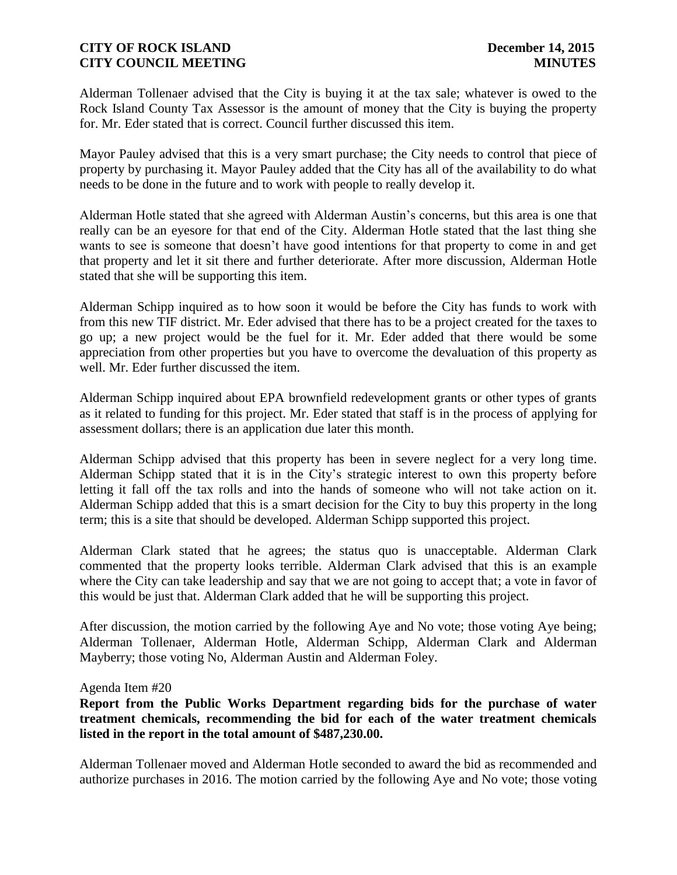Alderman Tollenaer advised that the City is buying it at the tax sale; whatever is owed to the Rock Island County Tax Assessor is the amount of money that the City is buying the property for. Mr. Eder stated that is correct. Council further discussed this item.

Mayor Pauley advised that this is a very smart purchase; the City needs to control that piece of property by purchasing it. Mayor Pauley added that the City has all of the availability to do what needs to be done in the future and to work with people to really develop it.

Alderman Hotle stated that she agreed with Alderman Austin's concerns, but this area is one that really can be an eyesore for that end of the City. Alderman Hotle stated that the last thing she wants to see is someone that doesn't have good intentions for that property to come in and get that property and let it sit there and further deteriorate. After more discussion, Alderman Hotle stated that she will be supporting this item.

Alderman Schipp inquired as to how soon it would be before the City has funds to work with from this new TIF district. Mr. Eder advised that there has to be a project created for the taxes to go up; a new project would be the fuel for it. Mr. Eder added that there would be some appreciation from other properties but you have to overcome the devaluation of this property as well. Mr. Eder further discussed the item.

Alderman Schipp inquired about EPA brownfield redevelopment grants or other types of grants as it related to funding for this project. Mr. Eder stated that staff is in the process of applying for assessment dollars; there is an application due later this month.

Alderman Schipp advised that this property has been in severe neglect for a very long time. Alderman Schipp stated that it is in the City's strategic interest to own this property before letting it fall off the tax rolls and into the hands of someone who will not take action on it. Alderman Schipp added that this is a smart decision for the City to buy this property in the long term; this is a site that should be developed. Alderman Schipp supported this project.

Alderman Clark stated that he agrees; the status quo is unacceptable. Alderman Clark commented that the property looks terrible. Alderman Clark advised that this is an example where the City can take leadership and say that we are not going to accept that; a vote in favor of this would be just that. Alderman Clark added that he will be supporting this project.

After discussion, the motion carried by the following Aye and No vote; those voting Aye being; Alderman Tollenaer, Alderman Hotle, Alderman Schipp, Alderman Clark and Alderman Mayberry; those voting No, Alderman Austin and Alderman Foley.

#### Agenda Item #20

**Report from the Public Works Department regarding bids for the purchase of water treatment chemicals, recommending the bid for each of the water treatment chemicals listed in the report in the total amount of \$487,230.00.**

Alderman Tollenaer moved and Alderman Hotle seconded to award the bid as recommended and authorize purchases in 2016. The motion carried by the following Aye and No vote; those voting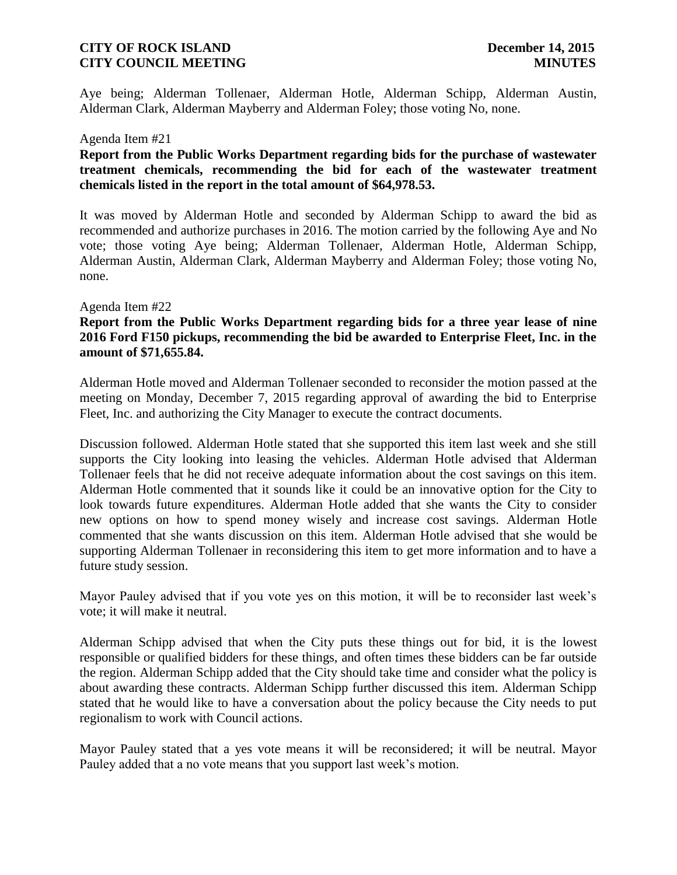Aye being; Alderman Tollenaer, Alderman Hotle, Alderman Schipp, Alderman Austin, Alderman Clark, Alderman Mayberry and Alderman Foley; those voting No, none.

#### Agenda Item #21

# **Report from the Public Works Department regarding bids for the purchase of wastewater treatment chemicals, recommending the bid for each of the wastewater treatment chemicals listed in the report in the total amount of \$64,978.53.**

It was moved by Alderman Hotle and seconded by Alderman Schipp to award the bid as recommended and authorize purchases in 2016. The motion carried by the following Aye and No vote; those voting Aye being; Alderman Tollenaer, Alderman Hotle, Alderman Schipp, Alderman Austin, Alderman Clark, Alderman Mayberry and Alderman Foley; those voting No, none.

#### Agenda Item #22

# **Report from the Public Works Department regarding bids for a three year lease of nine 2016 Ford F150 pickups, recommending the bid be awarded to Enterprise Fleet, Inc. in the amount of \$71,655.84.**

Alderman Hotle moved and Alderman Tollenaer seconded to reconsider the motion passed at the meeting on Monday, December 7, 2015 regarding approval of awarding the bid to Enterprise Fleet, Inc. and authorizing the City Manager to execute the contract documents.

Discussion followed. Alderman Hotle stated that she supported this item last week and she still supports the City looking into leasing the vehicles. Alderman Hotle advised that Alderman Tollenaer feels that he did not receive adequate information about the cost savings on this item. Alderman Hotle commented that it sounds like it could be an innovative option for the City to look towards future expenditures. Alderman Hotle added that she wants the City to consider new options on how to spend money wisely and increase cost savings. Alderman Hotle commented that she wants discussion on this item. Alderman Hotle advised that she would be supporting Alderman Tollenaer in reconsidering this item to get more information and to have a future study session.

Mayor Pauley advised that if you vote yes on this motion, it will be to reconsider last week's vote; it will make it neutral.

Alderman Schipp advised that when the City puts these things out for bid, it is the lowest responsible or qualified bidders for these things, and often times these bidders can be far outside the region. Alderman Schipp added that the City should take time and consider what the policy is about awarding these contracts. Alderman Schipp further discussed this item. Alderman Schipp stated that he would like to have a conversation about the policy because the City needs to put regionalism to work with Council actions.

Mayor Pauley stated that a yes vote means it will be reconsidered; it will be neutral. Mayor Pauley added that a no vote means that you support last week's motion.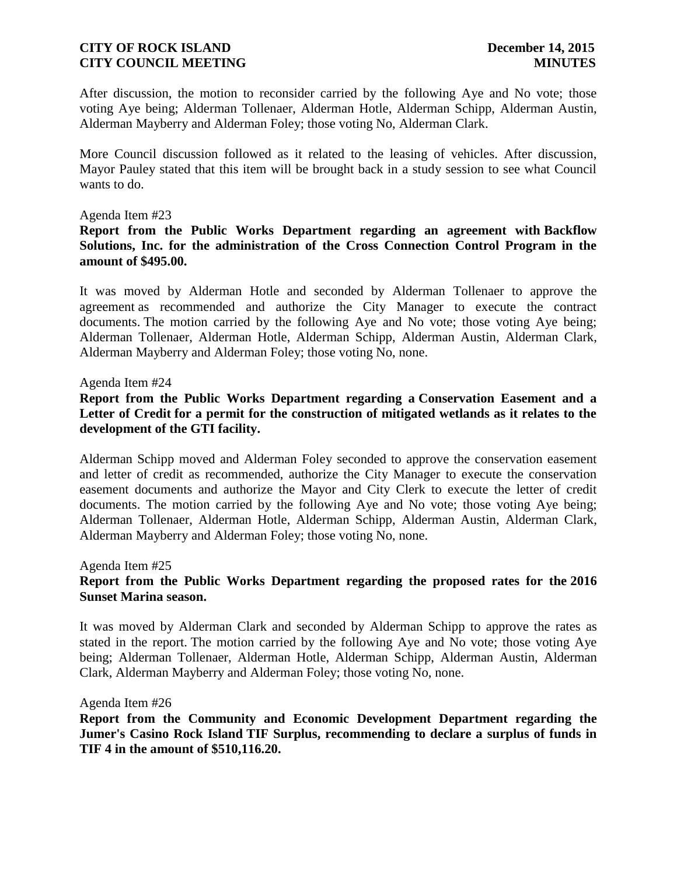After discussion, the motion to reconsider carried by the following Aye and No vote; those voting Aye being; Alderman Tollenaer, Alderman Hotle, Alderman Schipp, Alderman Austin, Alderman Mayberry and Alderman Foley; those voting No, Alderman Clark.

More Council discussion followed as it related to the leasing of vehicles. After discussion, Mayor Pauley stated that this item will be brought back in a study session to see what Council wants to do.

#### Agenda Item #23

#### **Report from the Public Works Department regarding an agreement with Backflow Solutions, Inc. for the administration of the Cross Connection Control Program in the amount of \$495.00.**

It was moved by Alderman Hotle and seconded by Alderman Tollenaer to approve the agreement as recommended and authorize the City Manager to execute the contract documents. The motion carried by the following Aye and No vote; those voting Aye being; Alderman Tollenaer, Alderman Hotle, Alderman Schipp, Alderman Austin, Alderman Clark, Alderman Mayberry and Alderman Foley; those voting No, none.

#### Agenda Item #24

# **Report from the Public Works Department regarding a Conservation Easement and a Letter of Credit for a permit for the construction of mitigated wetlands as it relates to the development of the GTI facility.**

Alderman Schipp moved and Alderman Foley seconded to approve the conservation easement and letter of credit as recommended, authorize the City Manager to execute the conservation easement documents and authorize the Mayor and City Clerk to execute the letter of credit documents. The motion carried by the following Aye and No vote; those voting Aye being; Alderman Tollenaer, Alderman Hotle, Alderman Schipp, Alderman Austin, Alderman Clark, Alderman Mayberry and Alderman Foley; those voting No, none.

Agenda Item #25

#### **Report from the Public Works Department regarding the proposed rates for the 2016 Sunset Marina season.**

It was moved by Alderman Clark and seconded by Alderman Schipp to approve the rates as stated in the report. The motion carried by the following Aye and No vote; those voting Aye being; Alderman Tollenaer, Alderman Hotle, Alderman Schipp, Alderman Austin, Alderman Clark, Alderman Mayberry and Alderman Foley; those voting No, none.

#### Agenda Item #26

**Report from the Community and Economic Development Department regarding the Jumer's Casino Rock Island TIF Surplus, recommending to declare a surplus of funds in TIF 4 in the amount of \$510,116.20.**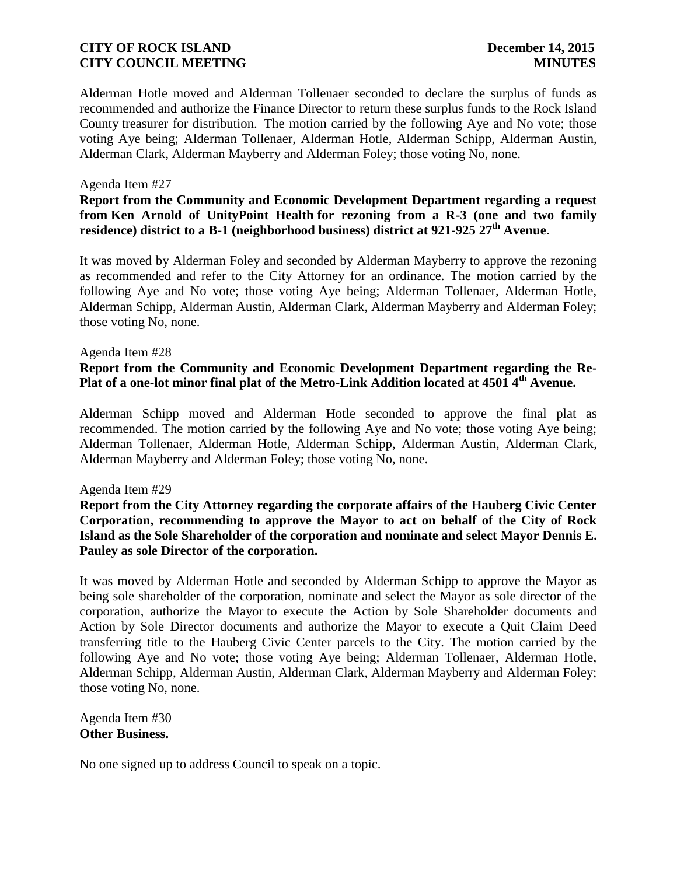Alderman Hotle moved and Alderman Tollenaer seconded to declare the surplus of funds as recommended and authorize the Finance Director to return these surplus funds to the Rock Island County treasurer for distribution. The motion carried by the following Aye and No vote; those voting Aye being; Alderman Tollenaer, Alderman Hotle, Alderman Schipp, Alderman Austin, Alderman Clark, Alderman Mayberry and Alderman Foley; those voting No, none.

#### Agenda Item #27

# **Report from the Community and Economic Development Department regarding a request from Ken Arnold of UnityPoint Health for rezoning from a R-3 (one and two family residence) district to a B-1 (neighborhood business) district at 921-925 27th Avenue**.

It was moved by Alderman Foley and seconded by Alderman Mayberry to approve the rezoning as recommended and refer to the City Attorney for an ordinance. The motion carried by the following Aye and No vote; those voting Aye being; Alderman Tollenaer, Alderman Hotle, Alderman Schipp, Alderman Austin, Alderman Clark, Alderman Mayberry and Alderman Foley; those voting No, none.

#### Agenda Item #28

# **Report from the Community and Economic Development Department regarding the Re-Plat of a one-lot minor final plat of the Metro-Link Addition located at 4501 4th Avenue.**

Alderman Schipp moved and Alderman Hotle seconded to approve the final plat as recommended. The motion carried by the following Aye and No vote; those voting Aye being; Alderman Tollenaer, Alderman Hotle, Alderman Schipp, Alderman Austin, Alderman Clark, Alderman Mayberry and Alderman Foley; those voting No, none.

#### Agenda Item #29

**Report from the City Attorney regarding the corporate affairs of the Hauberg Civic Center Corporation, recommending to approve the Mayor to act on behalf of the City of Rock Island as the Sole Shareholder of the corporation and nominate and select Mayor Dennis E. Pauley as sole Director of the corporation.** 

It was moved by Alderman Hotle and seconded by Alderman Schipp to approve the Mayor as being sole shareholder of the corporation, nominate and select the Mayor as sole director of the corporation, authorize the Mayor to execute the Action by Sole Shareholder documents and Action by Sole Director documents and authorize the Mayor to execute a Quit Claim Deed transferring title to the Hauberg Civic Center parcels to the City. The motion carried by the following Aye and No vote; those voting Aye being; Alderman Tollenaer, Alderman Hotle, Alderman Schipp, Alderman Austin, Alderman Clark, Alderman Mayberry and Alderman Foley; those voting No, none.

Agenda Item #30 **Other Business.**

No one signed up to address Council to speak on a topic.